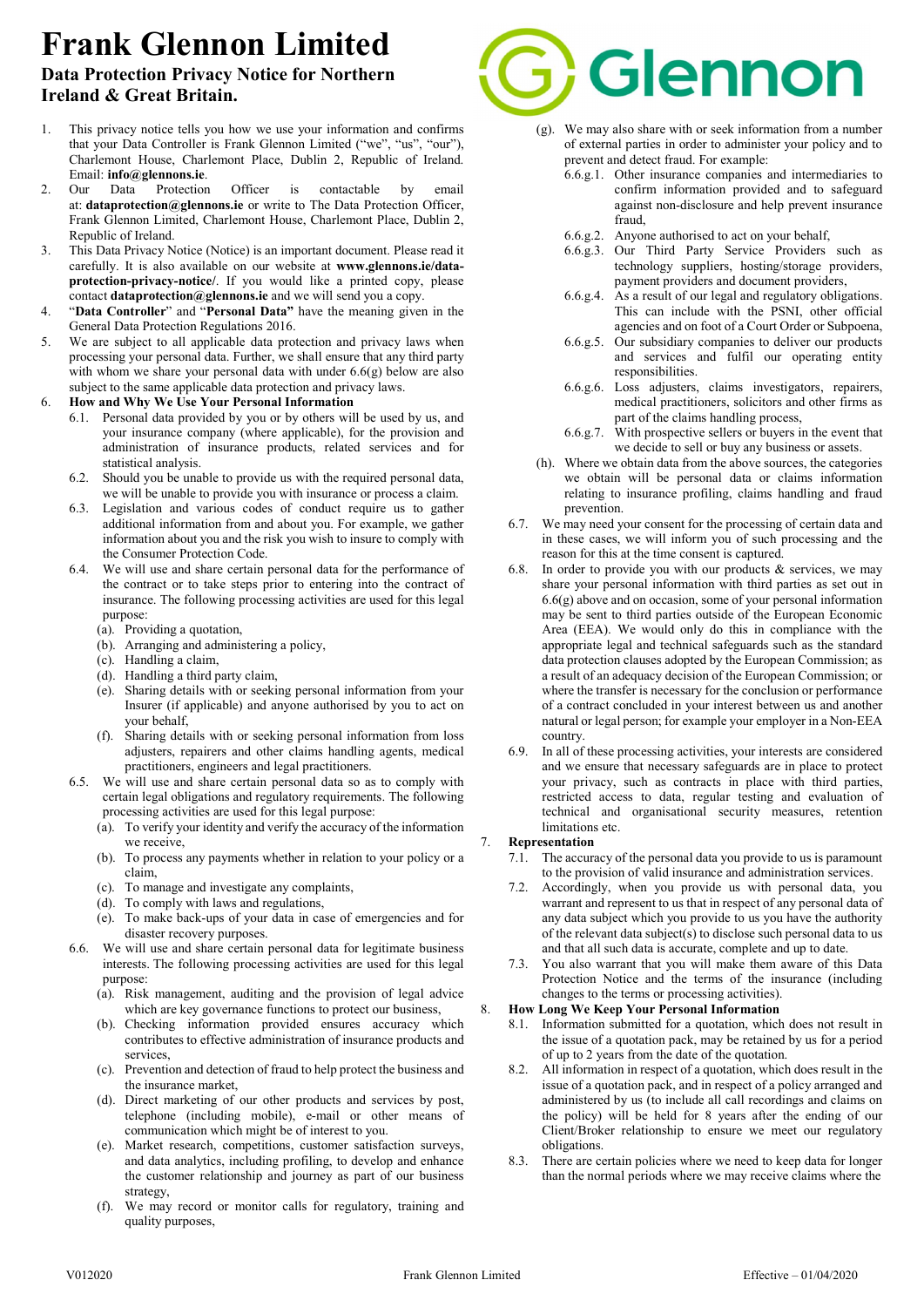# Frank Glennon Limited

Data Protection Privacy Notice for Northern Ireland & Great Britain.

- 1. This privacy notice tells you how we use your information and confirms that your Data Controller is Frank Glennon Limited ("we", "us", "our"), Charlemont House, Charlemont Place, Dublin 2, Republic of Ireland. Email: info@glennons.ie.
- 2. Our Data Protection Officer is contactable by email at: dataprotection@glennons.ie or write to The Data Protection Officer, Frank Glennon Limited, Charlemont House, Charlemont Place, Dublin 2, Republic of Ireland.
- 3. This Data Privacy Notice (Notice) is an important document. Please read it carefully. It is also available on our website at www.glennons.ie/dataprotection-privacy-notice/. If you would like a printed copy, please contact dataprotection@glennons.ie and we will send you a copy.
- 4. "Data Controller" and "Personal Data" have the meaning given in the General Data Protection Regulations 2016.
- 5. We are subject to all applicable data protection and privacy laws when processing your personal data. Further, we shall ensure that any third party with whom we share your personal data with under  $6.6(g)$  below are also subject to the same applicable data protection and privacy laws.

# 6. How and Why We Use Your Personal Information

- 6.1. Personal data provided by you or by others will be used by us, and your insurance company (where applicable), for the provision and administration of insurance products, related services and for statistical analysis.
- 6.2. Should you be unable to provide us with the required personal data, we will be unable to provide you with insurance or process a claim.
- 6.3. Legislation and various codes of conduct require us to gather additional information from and about you. For example, we gather information about you and the risk you wish to insure to comply with the Consumer Protection Code.
- 6.4. We will use and share certain personal data for the performance of the contract or to take steps prior to entering into the contract of insurance. The following processing activities are used for this legal purpose:
	- (a). Providing a quotation,
	- (b). Arranging and administering a policy,
	- (c). Handling a claim,
	- (d). Handling a third party claim,
	- (e). Sharing details with or seeking personal information from your Insurer (if applicable) and anyone authorised by you to act on your behalf,
	- (f). Sharing details with or seeking personal information from loss adjusters, repairers and other claims handling agents, medical practitioners, engineers and legal practitioners.
- 6.5. We will use and share certain personal data so as to comply with certain legal obligations and regulatory requirements. The following processing activities are used for this legal purpose:
	- (a). To verify your identity and verify the accuracy of the information we receive,
	- (b). To process any payments whether in relation to your policy or a claim,
	- (c). To manage and investigate any complaints,
	- (d). To comply with laws and regulations,
	- (e). To make back-ups of your data in case of emergencies and for disaster recovery purposes.
- 6.6. We will use and share certain personal data for legitimate business interests. The following processing activities are used for this legal purpose:
	- (a). Risk management, auditing and the provision of legal advice which are key governance functions to protect our business,
	- (b). Checking information provided ensures accuracy which contributes to effective administration of insurance products and services,
	- (c). Prevention and detection of fraud to help protect the business and the insurance market,
	- (d). Direct marketing of our other products and services by post, telephone (including mobile), e-mail or other means of communication which might be of interest to you.
	- (e). Market research, competitions, customer satisfaction surveys, and data analytics, including profiling, to develop and enhance the customer relationship and journey as part of our business strategy,
	- (f). We may record or monitor calls for regulatory, training and quality purposes,



- (g). We may also share with or seek information from a number of external parties in order to administer your policy and to prevent and detect fraud. For example:
	- 6.6.g.1. Other insurance companies and intermediaries to confirm information provided and to safeguard against non-disclosure and help prevent insurance fraud,
	- 6.6.g.2. Anyone authorised to act on your behalf,
	- 6.6.g.3. Our Third Party Service Providers such as technology suppliers, hosting/storage providers, payment providers and document providers,
	- 6.6.g.4. As a result of our legal and regulatory obligations. This can include with the PSNI, other official agencies and on foot of a Court Order or Subpoena,
	- 6.6.g.5. Our subsidiary companies to deliver our products and services and fulfil our operating entity responsibilities.
	- 6.6.g.6. Loss adjusters, claims investigators, repairers, medical practitioners, solicitors and other firms as part of the claims handling process,
	- 6.6.g.7. With prospective sellers or buyers in the event that we decide to sell or buy any business or assets.
- (h). Where we obtain data from the above sources, the categories we obtain will be personal data or claims information relating to insurance profiling, claims handling and fraud prevention.
- 6.7. We may need your consent for the processing of certain data and in these cases, we will inform you of such processing and the reason for this at the time consent is captured.
- 6.8. In order to provide you with our products  $\&$  services, we may share your personal information with third parties as set out in 6.6(g) above and on occasion, some of your personal information may be sent to third parties outside of the European Economic Area (EEA). We would only do this in compliance with the appropriate legal and technical safeguards such as the standard data protection clauses adopted by the European Commission; as a result of an adequacy decision of the European Commission; or where the transfer is necessary for the conclusion or performance of a contract concluded in your interest between us and another natural or legal person; for example your employer in a Non-EEA country.
- 6.9. In all of these processing activities, your interests are considered and we ensure that necessary safeguards are in place to protect your privacy, such as contracts in place with third parties, restricted access to data, regular testing and evaluation of technical and organisational security measures, retention limitations etc.

## 7. Representation

- 7.1. The accuracy of the personal data you provide to us is paramount to the provision of valid insurance and administration services.
- Accordingly, when you provide us with personal data, you warrant and represent to us that in respect of any personal data of any data subject which you provide to us you have the authority of the relevant data subject(s) to disclose such personal data to us and that all such data is accurate, complete and up to date.
- 7.3. You also warrant that you will make them aware of this Data Protection Notice and the terms of the insurance (including changes to the terms or processing activities).

#### 8. How Long We Keep Your Personal Information

- 8.1. Information submitted for a quotation, which does not result in the issue of a quotation pack, may be retained by us for a period of up to 2 years from the date of the quotation.
- 8.2. All information in respect of a quotation, which does result in the issue of a quotation pack, and in respect of a policy arranged and administered by us (to include all call recordings and claims on the policy) will be held for 8 years after the ending of our Client/Broker relationship to ensure we meet our regulatory obligations.
- 8.3. There are certain policies where we need to keep data for longer than the normal periods where we may receive claims where the